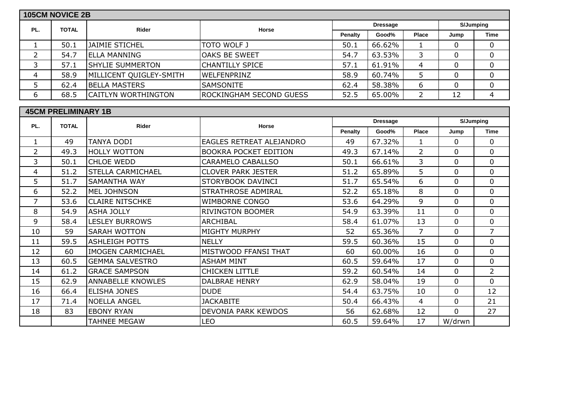|                | <b>105CM NOVICE 2B</b>     |                          |                                 |                |                 |                |                |                  |
|----------------|----------------------------|--------------------------|---------------------------------|----------------|-----------------|----------------|----------------|------------------|
|                |                            |                          |                                 |                | <b>Dressage</b> |                |                | <b>S/Jumping</b> |
| PL.            | <b>TOTAL</b>               | Rider                    | <b>Horse</b>                    | Penalty        | Good%           | Place          | Jump           | <b>Time</b>      |
| 1              | 50.1                       | <b>JAIMIE STICHEL</b>    | <b>TOTO WOLF J</b>              | 50.1           | 66.62%          | 1              | $\mathbf 0$    | 0                |
| $\overline{2}$ | 54.7                       | <b>ELLA MANNING</b>      | <b>OAKS BE SWEET</b>            | 54.7           | 63.53%          | 3              | $\Omega$       | $\overline{0}$   |
| 3              | 57.1                       | <b>SHYLIE SUMMERTON</b>  | <b>CHANTILLY SPICE</b>          | 57.1           | 61.91%          | 4              | $\mathbf 0$    | 0                |
| 4              | 58.9                       | MILLICENT QUIGLEY-SMITH  | WELFENPRINZ                     | 58.9           | 60.74%          | 5              | $\Omega$       | $\mathbf 0$      |
| 5              | 62.4                       | <b>BELLA MASTERS</b>     | SAMSONITE                       | 62.4           | 58.38%          | 6              | $\overline{0}$ | $\mathbf 0$      |
| 6              | 68.5                       | CAITLYN WORTHINGTON      | <b>ROCKINGHAM SECOND GUESS</b>  | 52.5           | 65.00%          | $\overline{2}$ | 12             | $\overline{4}$   |
|                | <b>45CM PRELIMINARY 1B</b> |                          |                                 |                |                 |                |                |                  |
|                |                            |                          |                                 |                | <b>Dressage</b> |                |                | S/Jumping        |
| PL.            | <b>TOTAL</b>               | Rider                    | <b>Horse</b>                    | <b>Penalty</b> | Good%           | Place          | Jump           | <b>Time</b>      |
| $\mathbf{1}$   | 49                         | <b>TANYA DODI</b>        | <b>EAGLES RETREAT ALEJANDRO</b> | 49             | 67.32%          | $\mathbf{1}$   | $\overline{0}$ | 0                |
| $\overline{2}$ | 49.3                       | <b>HOLLY WOTTON</b>      | <b>BOOKRA POCKET EDITION</b>    | 49.3           | 67.14%          | $\overline{2}$ | $\Omega$       | $\mathbf 0$      |
| 3              | 50.1                       | <b>CHLOE WEDD</b>        | CARAMELO CABALLSO               | 50.1           | 66.61%          | 3              | $\Omega$       | $\overline{0}$   |
| 4              | 51.2                       | <b>STELLA CARMICHAEL</b> | <b>CLOVER PARK JESTER</b>       | 51.2           | 65.89%          | 5              | $\Omega$       | $\mathbf 0$      |
| 5              | 51.7                       | <b>SAMANTHA WAY</b>      | <b>STORYBOOK DAVINCI</b>        | 51.7           | 65.54%          | 6              | $\mathbf 0$    | $\mathbf 0$      |
| 6              | 52.2                       | MEL JOHNSON              | <b>STRATHROSE ADMIRAL</b>       | 52.2           | 65.18%          | 8              | $\Omega$       | $\overline{0}$   |
| $\overline{7}$ | 53.6                       | <b>CLAIRE NITSCHKE</b>   | <b>WIMBORNE CONGO</b>           | 53.6           | 64.29%          | 9              | $\mathbf{0}$   | $\mathbf 0$      |
| 8              | 54.9                       | <b>ASHA JOLLY</b>        | <b>RIVINGTON BOOMER</b>         | 54.9           | 63.39%          | 11             | $\Omega$       | 0                |
| 9              | 58.4                       | <b>LESLEY BURROWS</b>    | <b>ARCHIBAL</b>                 | 58.4           | 61.07%          | 13             | $\overline{0}$ | $\pmb{0}$        |
| 10             | 59                         | <b>SARAH WOTTON</b>      | <b>MIGHTY MURPHY</b>            | 52             | 65.36%          | $\overline{7}$ | $\mathbf{0}$   | $\overline{7}$   |
| 11             | 59.5                       | <b>ASHLEIGH POTTS</b>    | <b>NELLY</b>                    | 59.5           | 60.36%          | 15             | $\mathbf 0$    | $\mathbf 0$      |
| 12             | 60                         | <b>IMOGEN CARMICHAEL</b> | MISTWOOD FFANSI THAT            | 60             | 60.00%          | 16             | $\overline{0}$ | $\mathbf 0$      |
| 13             | 60.5                       | <b>GEMMA SALVESTRO</b>   | <b>ASHAM MINT</b>               | 60.5           | 59.64%          | 17             | $\Omega$       | $\overline{0}$   |
| 14             | 61.2                       | <b>GRACE SAMPSON</b>     | <b>CHICKEN LITTLE</b>           | 59.2           | 60.54%          | 14             | $\Omega$       | $\overline{2}$   |
| 15             | 62.9                       | <b>ANNABELLE KNOWLES</b> | <b>DALBRAE HENRY</b>            | 62.9           | 58.04%          | 19             | $\mathbf{0}$   | $\overline{0}$   |
| 16             | 66.4                       | <b>ELISHA JONES</b>      | <b>DUDE</b>                     | 54.4           | 63.75%          | 10             | $\mathbf{0}$   | 12               |
| 17             | 71.4                       | <b>NOELLA ANGEL</b>      | <b>JACKABITE</b>                | 50.4           | 66.43%          | 4              | $\Omega$       | 21               |
| 18             | 83                         | <b>EBONY RYAN</b>        | DEVONIA PARK KEWDOS             | 56             | 62.68%          | 12             | $\mathbf{0}$   | 27               |
|                |                            | <b>TAHNEE MEGAW</b>      | <b>LEO</b>                      | 60.5           | 59.64%          | 17             | W/drwn         |                  |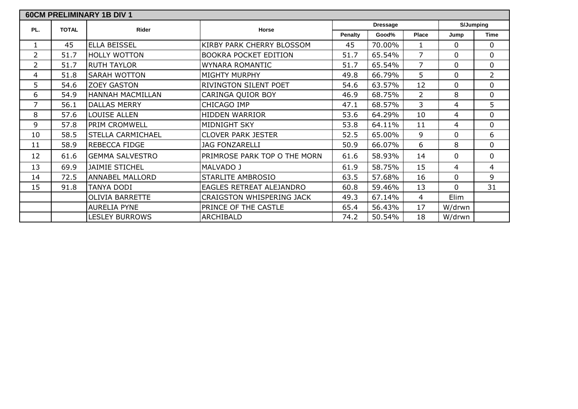|                |              | <b>60CM PRELIMINARY 1B DIV 1</b> |                                  |                |                 |                |              |                  |
|----------------|--------------|----------------------------------|----------------------------------|----------------|-----------------|----------------|--------------|------------------|
| PL.            | <b>TOTAL</b> | <b>Rider</b>                     | Horse                            |                | <b>Dressage</b> |                |              | <b>S/Jumping</b> |
|                |              |                                  |                                  | <b>Penalty</b> | Good%           | <b>Place</b>   | Jump         | <b>Time</b>      |
| $\mathbf{1}$   | 45           | <b>ELLA BEISSEL</b>              | KIRBY PARK CHERRY BLOSSOM        | 45             | 70.00%          | 1              | $\mathbf{0}$ | 0                |
| $\overline{2}$ | 51.7         | <b>HOLLY WOTTON</b>              | <b>BOOKRA POCKET EDITION</b>     | 51.7           | 65.54%          | $\overline{7}$ | $\Omega$     | 0                |
| 2              | 51.7         | <b>RUTH TAYLOR</b>               | <b>WYNARA ROMANTIC</b>           | 51.7           | 65.54%          | $\overline{7}$ | $\mathbf 0$  | 0                |
| 4              | 51.8         | <b>SARAH WOTTON</b>              | MIGHTY MURPHY                    | 49.8           | 66.79%          | 5              | $\Omega$     | $\overline{2}$   |
| 5              | 54.6         | <b>ZOEY GASTON</b>               | RIVINGTON SILENT POET            | 54.6           | 63.57%          | 12             | $\Omega$     | 0                |
| 6              | 54.9         | <b>HANNAH MACMILLAN</b>          | CARINGA QUIOR BOY                | 46.9           | 68.75%          | $\overline{2}$ | 8            | $\mathbf 0$      |
| 7              | 56.1         | <b>DALLAS MERRY</b>              | CHICAGO IMP                      | 47.1           | 68.57%          | 3              | 4            | 5                |
| 8              | 57.6         | <b>LOUISE ALLEN</b>              | <b>HIDDEN WARRIOR</b>            | 53.6           | 64.29%          | 10             | 4            | 0                |
| 9              | 57.8         | <b>PRIM CROMWELL</b>             | <b>MIDNIGHT SKY</b>              | 53.8           | 64.11%          | 11             | 4            | 0                |
| 10             | 58.5         | <b>STELLA CARMICHAEL</b>         | <b>CLOVER PARK JESTER</b>        | 52.5           | 65.00%          | 9              | 0            | 6                |
| 11             | 58.9         | REBECCA FIDGE                    | <b>JAG FONZARELLI</b>            | 50.9           | 66.07%          | 6              | 8            | 0                |
| 12             | 61.6         | <b>GEMMA SALVESTRO</b>           | PRIMROSE PARK TOP O THE MORN     | 61.6           | 58.93%          | 14             | $\Omega$     | 0                |
| 13             | 69.9         | <b>JAIMIE STICHEL</b>            | MALVADO J                        | 61.9           | 58.75%          | 15             | 4            | 4                |
| 14             | 72.5         | <b>ANNABEL MALLORD</b>           | STARLITE AMBROSIO                | 63.5           | 57.68%          | 16             | $\mathbf 0$  | 9                |
| 15             | 91.8         | TANYA DODI                       | EAGLES RETREAT ALEJANDRO         | 60.8           | 59.46%          | 13             | $\Omega$     | 31               |
|                |              | <b>OLIVIA BARRETTE</b>           | <b>CRAIGSTON WHISPERING JACK</b> | 49.3           | 67.14%          | 4              | Elim         |                  |
|                |              | <b>AURELIA PYNE</b>              | PRINCE OF THE CASTLE             | 65.4           | 56.43%          | 17             | W/drwn       |                  |
|                |              | <b>LESLEY BURROWS</b>            | ARCHIBALD                        | 74.2           | 50.54%          | 18             | W/drwn       |                  |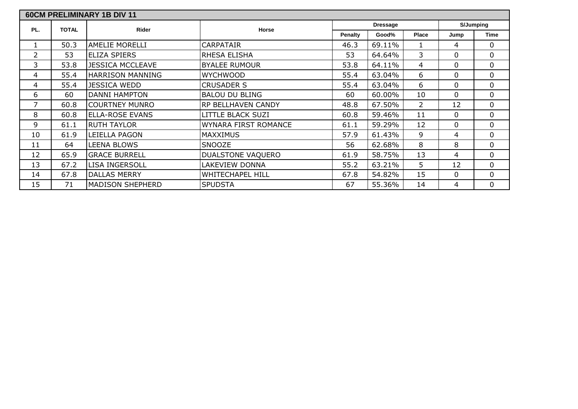|                |              | <b>60CM PRELIMINARY 1B DIV 11</b> |                             |         |                 |                |             |             |
|----------------|--------------|-----------------------------------|-----------------------------|---------|-----------------|----------------|-------------|-------------|
| PL.            | <b>TOTAL</b> | <b>Rider</b>                      | Horse                       |         | <b>Dressage</b> |                |             | S/Jumping   |
|                |              |                                   |                             | Penalty | Good%           | <b>Place</b>   | Jump        | <b>Time</b> |
| 1              | 50.3         | <b>AMELIE MORELLI</b>             | CARPATAIR                   | 46.3    | 69.11%          |                | 4           | 0           |
| $\overline{2}$ | 53           | <b>ELIZA SPIERS</b>               | RHESA ELISHA                | 53      | 64.64%          | 3              | 0           | 0           |
| 3              | 53.8         | <b>JESSICA MCCLEAVE</b>           | <b>BYALEE RUMOUR</b>        | 53.8    | 64.11%          | 4              | $\Omega$    | 0           |
| 4              | 55.4         | <b>HARRISON MANNING</b>           | <b>WYCHWOOD</b>             | 55.4    | 63.04%          | 6              | 0           | 0           |
| 4              | 55.4         | <b>JESSICA WEDD</b>               | <b>CRUSADER S</b>           | 55.4    | 63.04%          | 6              | $\mathbf 0$ | 0           |
| 6              | 60           | <b>DANNI HAMPTON</b>              | <b>BALOU DU BLING</b>       | 60      | 60.00%          | 10             | $\mathbf 0$ | 0           |
| 7              | 60.8         | <b>COURTNEY MUNRO</b>             | RP BELLHAVEN CANDY          | 48.8    | 67.50%          | $\overline{2}$ | 12          | 0           |
| 8              | 60.8         | <b>ELLA-ROSE EVANS</b>            | LITTLE BLACK SUZI           | 60.8    | 59.46%          | 11             | $\mathbf 0$ | 0           |
| 9              | 61.1         | <b>RUTH TAYLOR</b>                | <b>WYNARA FIRST ROMANCE</b> | 61.1    | 59.29%          | 12             | 0           | 0           |
| 10             | 61.9         | LEIELLA PAGON                     | <b>MAXXIMUS</b>             | 57.9    | 61.43%          | 9              | 4           | 0           |
| 11             | 64           | LEENA BLOWS                       | SNOOZE                      | 56      | 62.68%          | 8              | 8           | 0           |
| 12             | 65.9         | <b>GRACE BURRELL</b>              | DUALSTONE VAQUERO           | 61.9    | 58.75%          | 13             | 4           | 0           |
| 13             | 67.2         | <b>LISA INGERSOLL</b>             | LAKEVIEW DONNA              | 55.2    | 63.21%          | 5              | 12          | 0           |
| 14             | 67.8         | <b>DALLAS MERRY</b>               | WHITECHAPEL HILL            | 67.8    | 54.82%          | 15             | 0           | 0           |
| 15             | 71           | <b>MADISON SHEPHERD</b>           | <b>SPUDSTA</b>              | 67      | 55.36%          | 14             | 4           | 0           |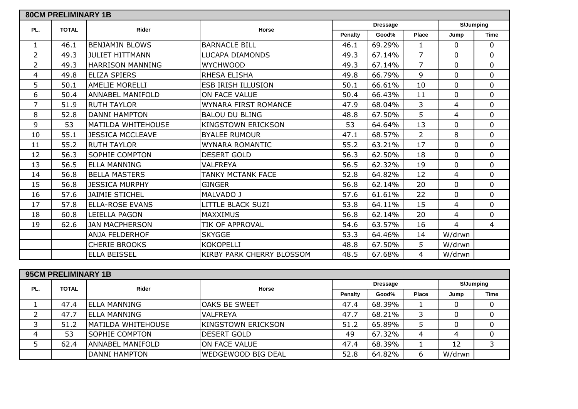|                | <b>80CM PRELIMINARY 1B</b> |                           |                             |         |                 |                |                |                |
|----------------|----------------------------|---------------------------|-----------------------------|---------|-----------------|----------------|----------------|----------------|
| PL.            | <b>TOTAL</b>               | <b>Rider</b>              | Horse                       |         | <b>Dressage</b> |                |                | S/Jumping      |
|                |                            |                           |                             | Penalty | Good%           | Place          | Jump           | <b>Time</b>    |
| $\mathbf{1}$   | 46.1                       | <b>BENJAMIN BLOWS</b>     | <b>BARNACLE BILL</b>        | 46.1    | 69.29%          | $\mathbf{1}$   | $\Omega$       | 0              |
| $\overline{2}$ | 49.3                       | <b>JULIET HITTMANN</b>    | <b>LUCAPA DIAMONDS</b>      | 49.3    | 67.14%          | $\overline{7}$ | $\Omega$       | 0              |
| $\overline{2}$ | 49.3                       | <b>HARRISON MANNING</b>   | <b>WYCHWOOD</b>             | 49.3    | 67.14%          | $\overline{7}$ | $\Omega$       | 0              |
| 4              | 49.8                       | <b>ELIZA SPIERS</b>       | RHESA ELISHA                | 49.8    | 66.79%          | 9              | $\Omega$       | 0              |
| 5              | 50.1                       | <b>AMELIE MORELLI</b>     | <b>ESB IRISH ILLUSION</b>   | 50.1    | 66.61%          | 10             | 0              | 0              |
| 6              | 50.4                       | <b>ANNABEL MANIFOLD</b>   | ON FACE VALUE               | 50.4    | 66.43%          | 11             | $\Omega$       | 0              |
| $\overline{7}$ | 51.9                       | <b>RUTH TAYLOR</b>        | <b>WYNARA FIRST ROMANCE</b> | 47.9    | 68.04%          | 3              | 4              | 0              |
| 8              | 52.8                       | <b>DANNI HAMPTON</b>      | <b>BALOU DU BLING</b>       | 48.8    | 67.50%          | 5              | 4              | 0              |
| 9              | 53                         | <b>MATILDA WHITEHOUSE</b> | <b>KINGSTOWN ERICKSON</b>   | 53      | 64.64%          | 13             | 0              | 0              |
| 10             | 55.1                       | <b>JESSICA MCCLEAVE</b>   | <b>BYALEE RUMOUR</b>        | 47.1    | 68.57%          | $\overline{2}$ | 8              | 0              |
| 11             | 55.2                       | <b>RUTH TAYLOR</b>        | <b>WYNARA ROMANTIC</b>      | 55.2    | 63.21%          | 17             | 0              | 0              |
| 12             | 56.3                       | <b>SOPHIE COMPTON</b>     | <b>DESERT GOLD</b>          | 56.3    | 62.50%          | 18             | $\mathbf{0}$   | 0              |
| 13             | 56.5                       | <b>ELLA MANNING</b>       | <b>VALFREYA</b>             | 56.5    | 62.32%          | 19             | $\mathbf 0$    | 0              |
| 14             | 56.8                       | <b>BELLA MASTERS</b>      | <b>TANKY MCTANK FACE</b>    | 52.8    | 64.82%          | 12             | 4              | 0              |
| 15             | 56.8                       | <b>JESSICA MURPHY</b>     | <b>GINGER</b>               | 56.8    | 62.14%          | 20             | $\mathbf 0$    | 0              |
| 16             | 57.6                       | <b>JAIMIE STICHEL</b>     | MALVADO J                   | 57.6    | 61.61%          | 22             | $\mathbf{0}$   | 0              |
| 17             | 57.8                       | <b>ELLA-ROSE EVANS</b>    | <b>LITTLE BLACK SUZI</b>    | 53.8    | 64.11%          | 15             | 4              | 0              |
| 18             | 60.8                       | LEIELLA PAGON             | <b>MAXXIMUS</b>             | 56.8    | 62.14%          | 20             | 4              | 0              |
| 19             | 62.6                       | <b>JAN MACPHERSON</b>     | TIK OF APPROVAL             | 54.6    | 63.57%          | 16             | $\overline{4}$ | $\overline{4}$ |
|                |                            | <b>ANJA FELDERHOF</b>     | <b>SKYGGE</b>               | 53.3    | 64.46%          | 14             | W/drwn         |                |
|                |                            | <b>CHERIE BROOKS</b>      | <b>KOKOPELLI</b>            | 48.8    | 67.50%          | 5              | W/drwn         |                |
|                |                            | <b>ELLA BEISSEL</b>       | KIRBY PARK CHERRY BLOSSOM   | 48.5    | 67.68%          | 4              | W/drwn         |                |

|     | <b>95CM PRELIMINARY 1B</b> |                         |                           |                |                 |       |           |             |
|-----|----------------------------|-------------------------|---------------------------|----------------|-----------------|-------|-----------|-------------|
| PL. | <b>TOTAL</b>               | <b>Rider</b>            | Horse                     |                | <b>Dressage</b> |       | S/Jumping |             |
|     |                            |                         |                           | <b>Penalty</b> | Good%           | Place | Jump      | <b>Time</b> |
|     | 47.4                       | <b>IELLA MANNING</b>    | <b>OAKS BE SWEET</b>      | 47.4           | 68.39%          |       |           |             |
|     | 47.7                       | <b>ELLA MANNING</b>     | <b>VALFREYA</b>           | 47.7           | 68.21%          |       |           |             |
|     | 51.2                       | MATILDA WHITEHOUSE      | <b>KINGSTOWN ERICKSON</b> | 51.2           | 65.89%          |       |           |             |
| 4   | 53                         | <b>SOPHIE COMPTON</b>   | <b>DESERT GOLD</b>        | 49             | 67.32%          | 4     | 4         |             |
|     | 62.4                       | <b>ANNABEL MANIFOLD</b> | ON FACE VALUE             | 47.4           | 68.39%          |       | 12        |             |
|     |                            | DANNI HAMPTON           | <b>WEDGEWOOD BIG DEAL</b> | 52.8           | 64.82%          | 6     | W/drwn    |             |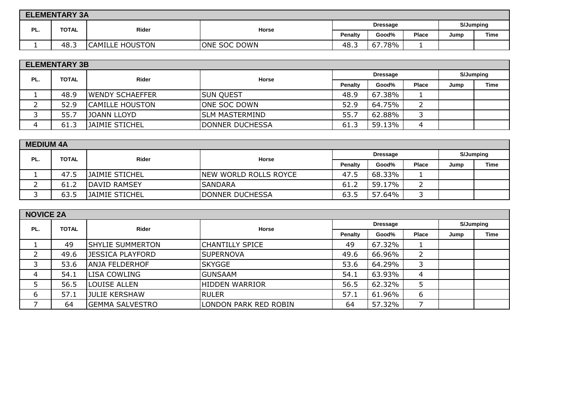|     | <b>ELEMENTARY 3A</b> |                        |                     |                                  |                 |      |             |  |  |  |  |
|-----|----------------------|------------------------|---------------------|----------------------------------|-----------------|------|-------------|--|--|--|--|
| PL. | <b>TOTAL</b>         | Rider                  | Horse               |                                  | <b>Dressage</b> |      | S/Jumping   |  |  |  |  |
|     |                      |                        |                     | Good%<br>Place<br><b>Penalty</b> |                 | Jump | <b>Time</b> |  |  |  |  |
|     | 48.J                 | <b>CAMILLE HOUSTON</b> | <b>ONE SOC DOWN</b> | 48.3                             | 67.78%          |      |             |  |  |  |  |

|     | <b>ELEMENTARY 3B</b> |                        |                          |         |        |       |           |      |  |  |  |
|-----|----------------------|------------------------|--------------------------|---------|--------|-------|-----------|------|--|--|--|
| PL. | <b>TOTAL</b>         | Rider                  | <b>Dressage</b><br>Horse |         |        |       | S/Jumping |      |  |  |  |
|     |                      |                        |                          | Penalty | Good%  | Place | Jump      | Time |  |  |  |
|     | 48.9                 | <b>WENDY SCHAEFFER</b> | <b>SUN QUEST</b>         | 48.9    | 67.38% |       |           |      |  |  |  |
|     | 52.9                 | <b>CAMILLE HOUSTON</b> | ONE SOC DOWN             | 52.9    | 64.75% |       |           |      |  |  |  |
|     | 55.7                 | <b>JOANN LLOYD</b>     | ISLM MASTERMIND          | 55.7    | 62.88% |       |           |      |  |  |  |
| 4   | 61.3                 | <b>JAIMIE STICHEL</b>  | DONNER DUCHESSA          | 61.3    | 59.13% | 4     |           |      |  |  |  |

|     | <b>MEDIUM 4A</b> |                       |                        |                |                 |       |      |             |  |  |
|-----|------------------|-----------------------|------------------------|----------------|-----------------|-------|------|-------------|--|--|
| PL. | <b>TOTAL</b>     | Rider                 | Horse                  |                | <b>Dressage</b> |       |      | S/Jumping   |  |  |
|     |                  |                       |                        | <b>Penalty</b> | Good%           | Place | Jump | <b>Time</b> |  |  |
|     | 47.5             | <b>JAIMIE STICHEL</b> | NEW WORLD ROLLS ROYCE  | 47.5           | 68.33%          |       |      |             |  |  |
|     | 61.2             | DAVID RAMSEY          | <b>SANDARA</b>         | 61.2           | 59.17%          |       |      |             |  |  |
|     | 63.5             | JAIMIE STICHEL        | <b>DONNER DUCHESSA</b> | 63.5           | 57.64%          |       |      |             |  |  |

| <b>NOVICE 2A</b> |              |                         |                        |                 |        |                |           |             |
|------------------|--------------|-------------------------|------------------------|-----------------|--------|----------------|-----------|-------------|
| PL.              | <b>TOTAL</b> | Rider                   | Horse                  | <b>Dressage</b> |        |                | S/Jumping |             |
|                  |              |                         |                        | Penalty         | Good%  | Place          | Jump      | <b>Time</b> |
|                  | 49           | <b>SHYLIE SUMMERTON</b> | <b>CHANTILLY SPICE</b> | 49              | 67.32% |                |           |             |
|                  | 49.6         | <b>JESSICA PLAYFORD</b> | <b>SUPERNOVA</b>       | 49.6            | 66.96% |                |           |             |
|                  | 53.6         | <b>ANJA FELDERHOF</b>   | <b>SKYGGE</b>          | 53.6            | 64.29% | 3              |           |             |
| 4                | 54.1         | <b>LISA COWLING</b>     | <b>GUNSAAM</b>         | 54.1            | 63.93% | $\overline{4}$ |           |             |
|                  | 56.5         | <b>LOUISE ALLEN</b>     | <b>HIDDEN WARRIOR</b>  | 56.5            | 62.32% |                |           |             |
| 6                | 57.1         | JULIE KERSHAW           | <b>RULER</b>           | 57.1            | 61.96% | 6              |           |             |
|                  | 64           | <b>GEMMA SALVESTRO</b>  | LONDON PARK RED ROBIN  | 64              | 57.32% |                |           |             |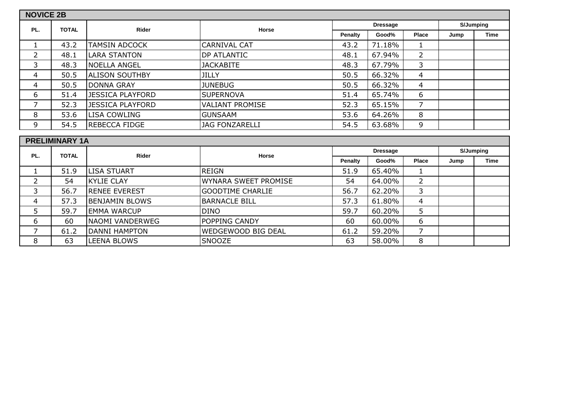| <b>NOVICE 2B</b> |                       |                         |                         |         |                 |                |      |                  |
|------------------|-----------------------|-------------------------|-------------------------|---------|-----------------|----------------|------|------------------|
|                  |                       |                         |                         |         | <b>Dressage</b> |                |      | <b>S/Jumping</b> |
| PL.              | <b>TOTAL</b>          | <b>Rider</b>            | Horse                   | Penalty | Good%           | Place          | Jump | <b>Time</b>      |
| $\mathbf{1}$     | 43.2                  | <b>TAMSIN ADCOCK</b>    | <b>CARNIVAL CAT</b>     | 43.2    | 71.18%          | 1              |      |                  |
| $\overline{2}$   | 48.1                  | <b>LARA STANTON</b>     | DP ATLANTIC             | 48.1    | 67.94%          | $\overline{2}$ |      |                  |
| 3                | 48.3                  | <b>NOELLA ANGEL</b>     | <b>JACKABITE</b>        | 48.3    | 67.79%          | 3              |      |                  |
| $\overline{4}$   | 50.5                  | <b>ALISON SOUTHBY</b>   | <b>JILLY</b>            | 50.5    | 66.32%          | 4              |      |                  |
| 4                | 50.5                  | <b>DONNA GRAY</b>       | <b>JUNEBUG</b>          | 50.5    | 66.32%          | 4              |      |                  |
| 6                | 51.4                  | <b>JESSICA PLAYFORD</b> | <b>SUPERNOVA</b>        | 51.4    | 65.74%          | 6              |      |                  |
| 7                | 52.3                  | <b>JESSICA PLAYFORD</b> | <b>VALIANT PROMISE</b>  | 52.3    | 65.15%          | $\overline{7}$ |      |                  |
| 8                | 53.6                  | LISA COWLING            | <b>GUNSAAM</b>          | 53.6    | 64.26%          | 8              |      |                  |
| 9                | 54.5                  | REBECCA FIDGE           | <b>JAG FONZARELLI</b>   | 54.5    | 63.68%          | 9              |      |                  |
|                  |                       |                         |                         |         |                 |                |      |                  |
|                  | <b>PRELIMINARY 1A</b> |                         |                         |         |                 |                |      |                  |
| PL.              | <b>TOTAL</b>          | <b>Rider</b>            | Horse                   |         | <b>Dressage</b> |                |      | <b>S/Jumping</b> |
|                  |                       |                         |                         | Penalty | Good%           | Place          | Jump | <b>Time</b>      |
| $\mathbf{1}$     | 51.9                  | <b>LISA STUART</b>      | <b>REIGN</b>            | 51.9    | 65.40%          | 1              |      |                  |
| $\overline{2}$   | 54                    | <b>KYLIE CLAY</b>       | WYNARA SWEET PROMISE    | 54      | 64.00%          | $\overline{2}$ |      |                  |
| 3                | 56.7                  | <b>RENEE EVEREST</b>    | <b>GOODTIME CHARLIE</b> | 56.7    | 62.20%          | 3              |      |                  |
| $\overline{4}$   | 57.3                  | BENJAMIN BLOWS          | <b>BARNACLE BILL</b>    | 57.3    | 61.80%          | 4              |      |                  |
| 5                | 59.7                  | <b>EMMA WARCUP</b>      | <b>DINO</b>             | 59.7    | 60.20%          | 5              |      |                  |
| 6                | 60                    | <b>NAOMI VANDERWEG</b>  | POPPING CANDY           | 60      | 60.00%          | 6              |      |                  |
| 7                | 61.2                  | <b>DANNI HAMPTON</b>    | WEDGEWOOD BIG DEAL      | 61.2    | 59.20%          | 7              |      |                  |
| 8                | 63                    | LEENA BLOWS             | SNOOZE                  | 63      | 58.00%          | 8              |      |                  |